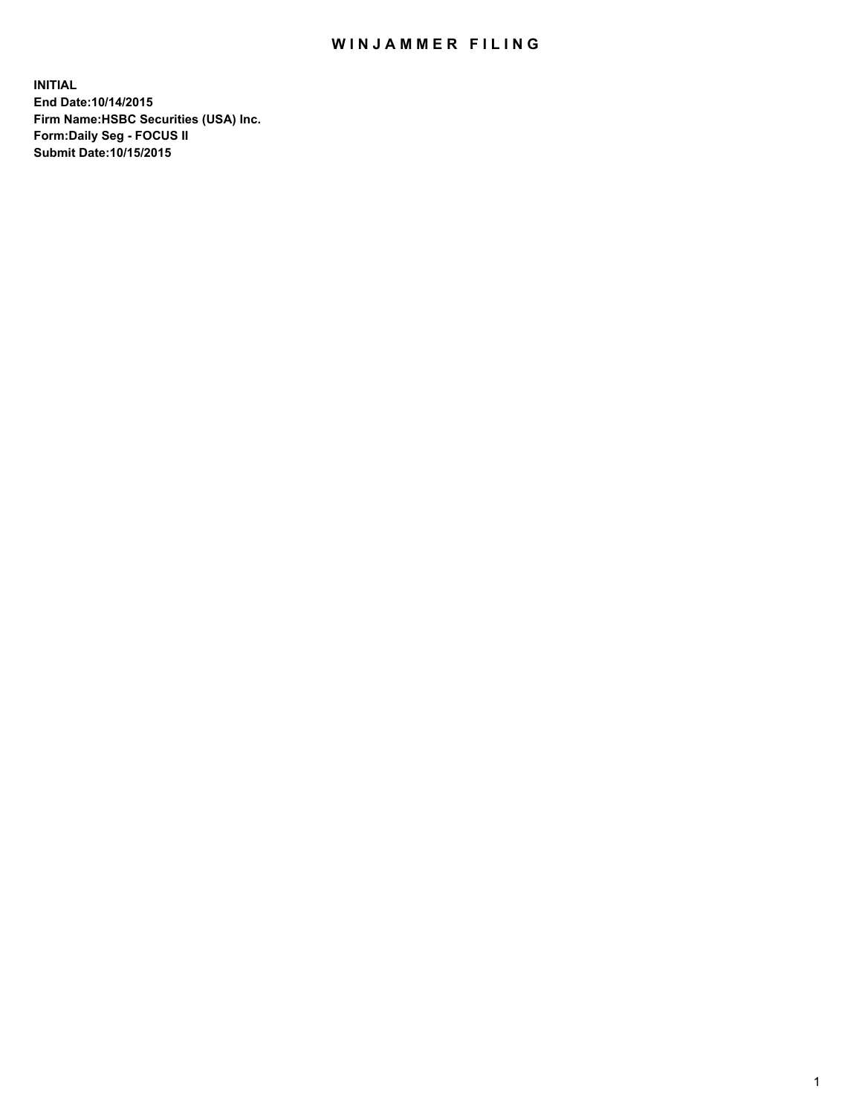## WIN JAMMER FILING

**INITIAL End Date:10/14/2015 Firm Name:HSBC Securities (USA) Inc. Form:Daily Seg - FOCUS II Submit Date:10/15/2015**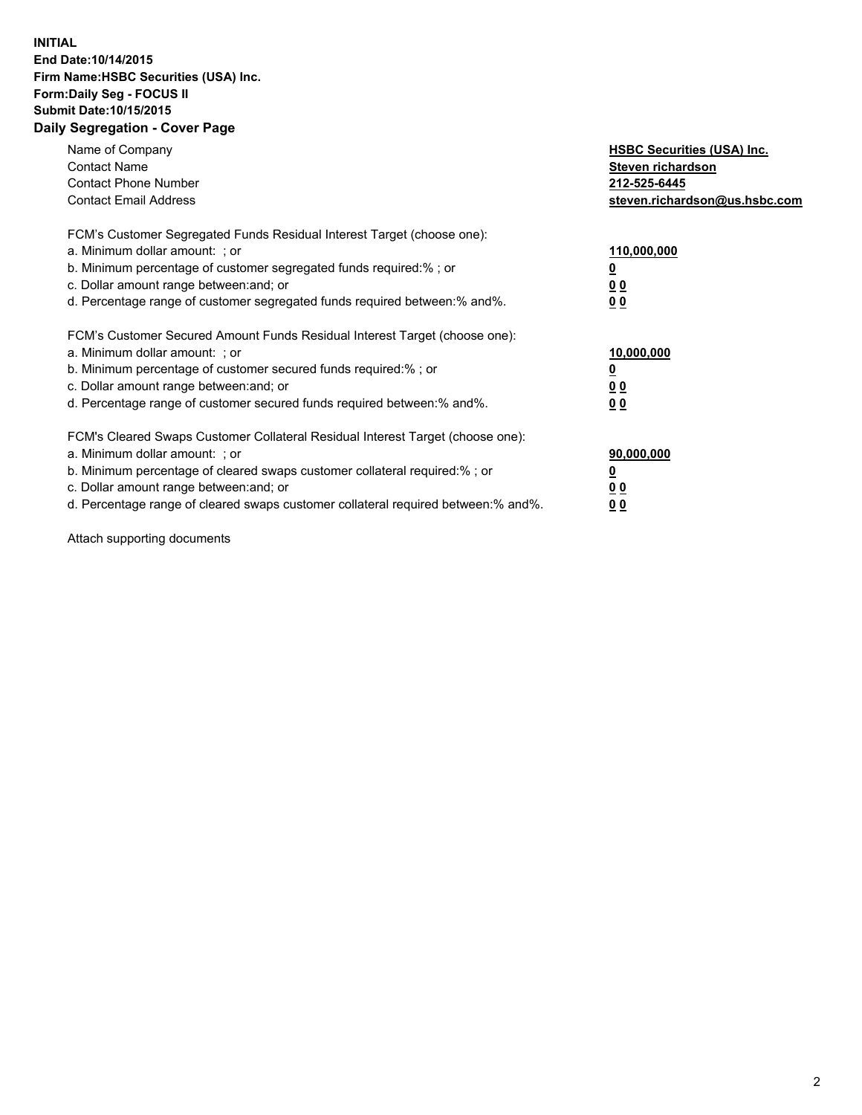## **INITIAL End Date:10/14/2015 Firm Name:HSBC Securities (USA) Inc. Form:Daily Seg - FOCUS II Submit Date:10/15/2015 Daily Segregation - Cover Page**

| Name of Company<br><b>Contact Name</b><br><b>Contact Phone Number</b><br><b>Contact Email Address</b>                                                                                                                                                                                                                          | <b>HSBC Securities (USA) Inc.</b><br>Steven richardson<br>212-525-6445<br>steven.richardson@us.hsbc.com |
|--------------------------------------------------------------------------------------------------------------------------------------------------------------------------------------------------------------------------------------------------------------------------------------------------------------------------------|---------------------------------------------------------------------------------------------------------|
| FCM's Customer Segregated Funds Residual Interest Target (choose one):<br>a. Minimum dollar amount: ; or<br>b. Minimum percentage of customer segregated funds required:%; or<br>c. Dollar amount range between: and; or<br>d. Percentage range of customer segregated funds required between:% and%.                          | 110,000,000<br>0 <sub>0</sub><br>00                                                                     |
| FCM's Customer Secured Amount Funds Residual Interest Target (choose one):<br>a. Minimum dollar amount: ; or<br>b. Minimum percentage of customer secured funds required:%; or<br>c. Dollar amount range between: and; or<br>d. Percentage range of customer secured funds required between: % and %.                          | 10,000,000<br><u>00</u><br>0 <sub>0</sub>                                                               |
| FCM's Cleared Swaps Customer Collateral Residual Interest Target (choose one):<br>a. Minimum dollar amount: ; or<br>b. Minimum percentage of cleared swaps customer collateral required:% ; or<br>c. Dollar amount range between: and; or<br>d. Percentage range of cleared swaps customer collateral required between:% and%. | 90,000,000<br>0 <sub>0</sub><br><u>00</u>                                                               |

Attach supporting documents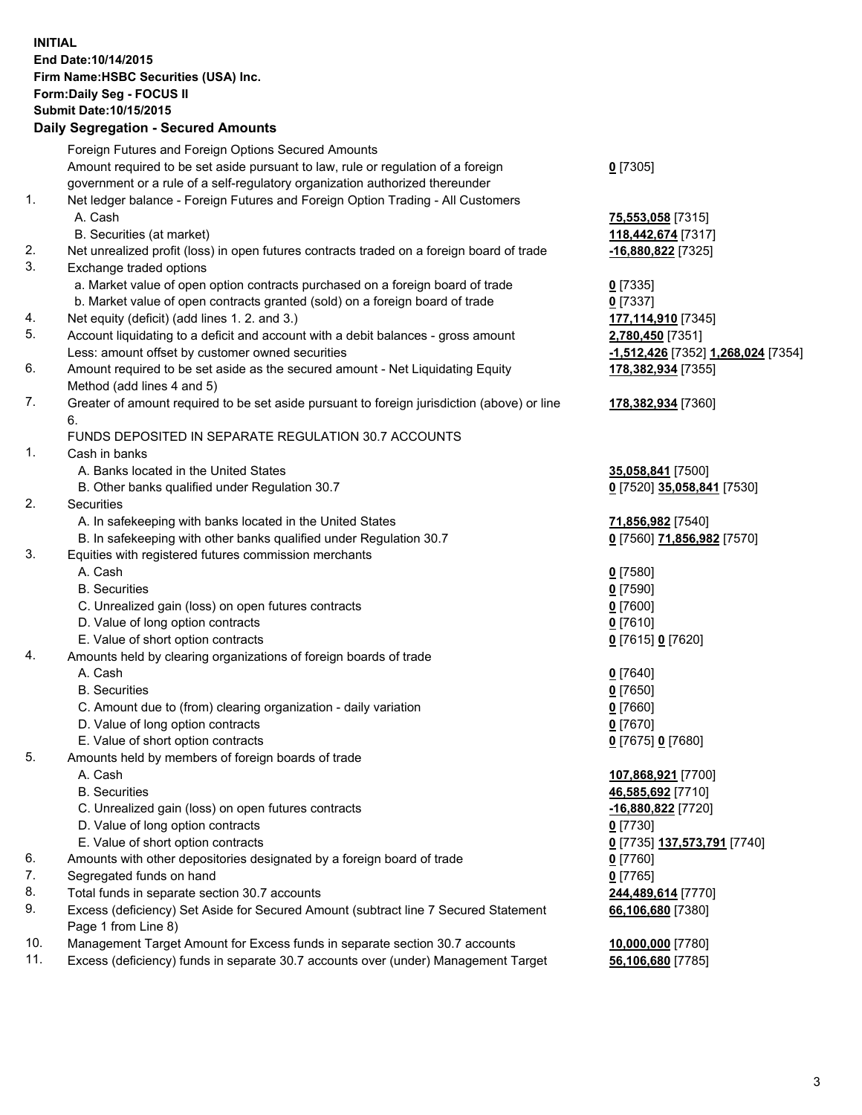**INITIAL End Date:10/14/2015 Firm Name:HSBC Securities (USA) Inc. Form:Daily Seg - FOCUS II Submit Date:10/15/2015**

## **Daily Segregation - Secured Amounts** Foreign Futures and Foreign Options Secured Amounts

|     | Foreign Futures and Foreign Options Secured Amounts                                         |                                    |
|-----|---------------------------------------------------------------------------------------------|------------------------------------|
|     | Amount required to be set aside pursuant to law, rule or regulation of a foreign            | $0$ [7305]                         |
|     | government or a rule of a self-regulatory organization authorized thereunder                |                                    |
| 1.  | Net ledger balance - Foreign Futures and Foreign Option Trading - All Customers             |                                    |
|     | A. Cash                                                                                     | 75,553,058 [7315]                  |
|     | B. Securities (at market)                                                                   | 118,442,674 [7317]                 |
| 2.  | Net unrealized profit (loss) in open futures contracts traded on a foreign board of trade   | $-16,880,822$ [7325]               |
| 3.  | Exchange traded options                                                                     |                                    |
|     | a. Market value of open option contracts purchased on a foreign board of trade              | $0$ [7335]                         |
|     | b. Market value of open contracts granted (sold) on a foreign board of trade                | $0$ [7337]                         |
| 4.  | Net equity (deficit) (add lines 1. 2. and 3.)                                               | 177,114,910 [7345]                 |
| 5.  | Account liquidating to a deficit and account with a debit balances - gross amount           | 2,780,450 [7351]                   |
|     | Less: amount offset by customer owned securities                                            | -1,512,426 [7352] 1,268,024 [7354] |
| 6.  | Amount required to be set aside as the secured amount - Net Liquidating Equity              | 178,382,934 [7355]                 |
|     | Method (add lines 4 and 5)                                                                  |                                    |
| 7.  | Greater of amount required to be set aside pursuant to foreign jurisdiction (above) or line | 178,382,934 [7360]                 |
|     | 6.                                                                                          |                                    |
|     | FUNDS DEPOSITED IN SEPARATE REGULATION 30.7 ACCOUNTS                                        |                                    |
| 1.  | Cash in banks                                                                               |                                    |
|     | A. Banks located in the United States                                                       | 35,058,841 [7500]                  |
|     | B. Other banks qualified under Regulation 30.7                                              | 0 [7520] 35,058,841 [7530]         |
| 2.  | Securities                                                                                  |                                    |
|     | A. In safekeeping with banks located in the United States                                   | 71,856,982 [7540]                  |
|     | B. In safekeeping with other banks qualified under Regulation 30.7                          | 0 [7560] 71,856,982 [7570]         |
| 3.  | Equities with registered futures commission merchants                                       |                                    |
|     | A. Cash                                                                                     | $0$ [7580]                         |
|     | <b>B.</b> Securities                                                                        | <u>0</u> [7590]                    |
|     | C. Unrealized gain (loss) on open futures contracts                                         | 0 [7600]                           |
|     | D. Value of long option contracts                                                           | $0$ [7610]                         |
|     | E. Value of short option contracts                                                          | 0 [7615] 0 [7620]                  |
| 4.  | Amounts held by clearing organizations of foreign boards of trade                           |                                    |
|     | A. Cash                                                                                     | $0$ [7640]                         |
|     | <b>B.</b> Securities                                                                        | <u>0</u> [7650]                    |
|     | C. Amount due to (from) clearing organization - daily variation                             | 0 [7660]                           |
|     | D. Value of long option contracts                                                           | $0$ [7670]                         |
|     | E. Value of short option contracts                                                          | 0 [7675] 0 [7680]                  |
| 5.  | Amounts held by members of foreign boards of trade                                          |                                    |
|     | A. Cash                                                                                     | 107,868,921 [7700]                 |
|     | <b>B.</b> Securities                                                                        | 46,585,692 [7710]                  |
|     | C. Unrealized gain (loss) on open futures contracts                                         | -16,880,822 [7720]                 |
|     | D. Value of long option contracts                                                           | 0 [7730]                           |
|     | E. Value of short option contracts                                                          | 0 [7735] 137,573,791 [7740]        |
| 6.  | Amounts with other depositories designated by a foreign board of trade                      | 0 [7760]                           |
| 7.  | Segregated funds on hand                                                                    | 0 [7765]                           |
| 8.  | Total funds in separate section 30.7 accounts                                               | 244,489,614 [7770]                 |
| 9.  | Excess (deficiency) Set Aside for Secured Amount (subtract line 7 Secured Statement         | 66,106,680 [7380]                  |
|     | Page 1 from Line 8)                                                                         |                                    |
| 10. | Management Target Amount for Excess funds in separate section 30.7 accounts                 | 10,000,000 [7780]                  |
| 11. | Excess (deficiency) funds in separate 30.7 accounts over (under) Management Target          | 56,106,680 [7785]                  |
|     |                                                                                             |                                    |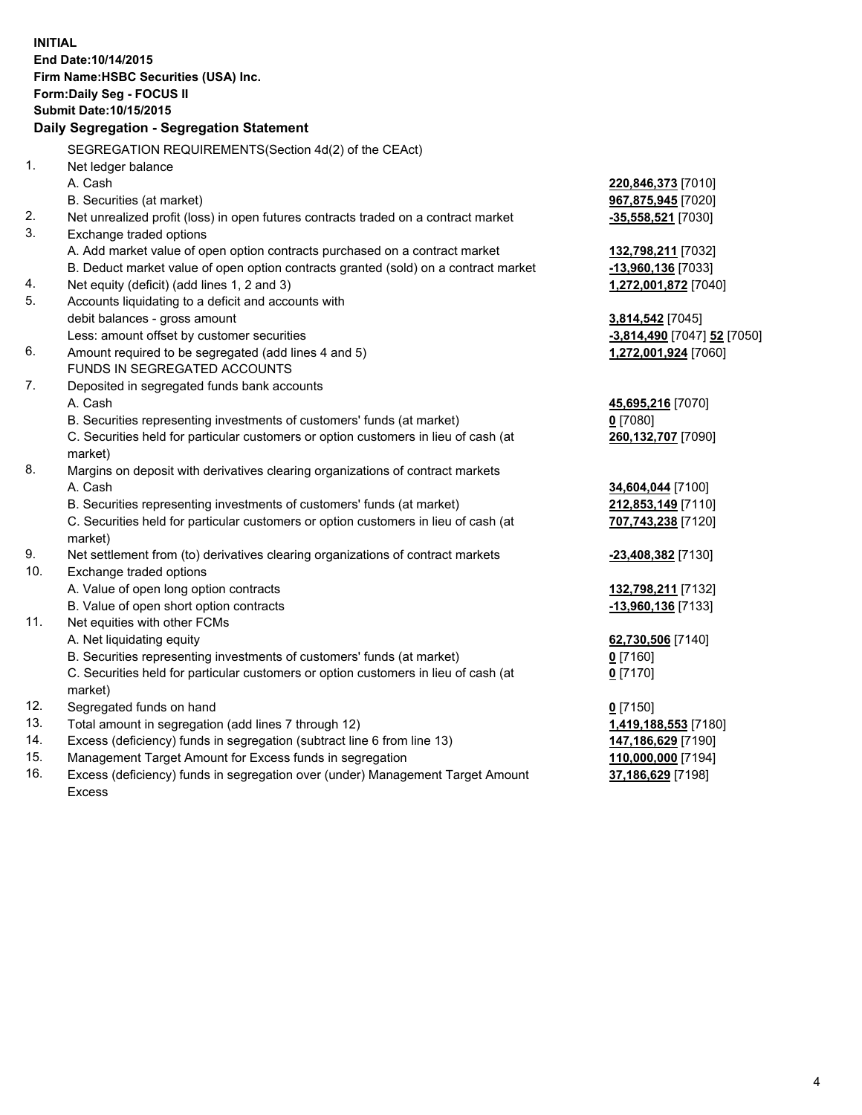| <b>INITIAL</b> | End Date: 10/14/2015<br>Firm Name: HSBC Securities (USA) Inc.                                  |                             |
|----------------|------------------------------------------------------------------------------------------------|-----------------------------|
|                | Form: Daily Seg - FOCUS II                                                                     |                             |
|                | <b>Submit Date: 10/15/2015</b>                                                                 |                             |
|                | Daily Segregation - Segregation Statement                                                      |                             |
|                | SEGREGATION REQUIREMENTS(Section 4d(2) of the CEAct)                                           |                             |
| 1.             | Net ledger balance                                                                             |                             |
|                | A. Cash                                                                                        | 220,846,373 [7010]          |
|                | B. Securities (at market)                                                                      | 967,875,945 [7020]          |
| 2.             | Net unrealized profit (loss) in open futures contracts traded on a contract market             | $-35,558,521$ [7030]        |
| 3.             | Exchange traded options                                                                        |                             |
|                | A. Add market value of open option contracts purchased on a contract market                    | 132,798,211 [7032]          |
|                | B. Deduct market value of open option contracts granted (sold) on a contract market            | -13,960,136 [7033]          |
| 4.             | Net equity (deficit) (add lines 1, 2 and 3)                                                    | 1,272,001,872 [7040]        |
| 5.             | Accounts liquidating to a deficit and accounts with                                            |                             |
|                | debit balances - gross amount                                                                  | 3,814,542 [7045]            |
|                | Less: amount offset by customer securities                                                     | -3,814,490 [7047] 52 [7050] |
| 6.             | Amount required to be segregated (add lines 4 and 5)                                           | 1,272,001,924 [7060]        |
|                | FUNDS IN SEGREGATED ACCOUNTS                                                                   |                             |
| 7.             | Deposited in segregated funds bank accounts                                                    |                             |
|                | A. Cash                                                                                        | 45,695,216 [7070]           |
|                | B. Securities representing investments of customers' funds (at market)                         | $0$ [7080]                  |
|                | C. Securities held for particular customers or option customers in lieu of cash (at            | 260,132,707 [7090]          |
|                | market)                                                                                        |                             |
| 8.             | Margins on deposit with derivatives clearing organizations of contract markets                 |                             |
|                | A. Cash                                                                                        | 34,604,044 [7100]           |
|                | B. Securities representing investments of customers' funds (at market)                         | 212,853,149 [7110]          |
|                | C. Securities held for particular customers or option customers in lieu of cash (at<br>market) | 707,743,238 [7120]          |
| 9.             | Net settlement from (to) derivatives clearing organizations of contract markets                | -23,408,382 [7130]          |
| 10.            | Exchange traded options                                                                        |                             |
|                | A. Value of open long option contracts                                                         | 132,798,211 [7132]          |
|                | B. Value of open short option contracts                                                        | -13,960,136 [7133]          |
| 11.            | Net equities with other FCMs                                                                   |                             |
|                | A. Net liquidating equity                                                                      | 62,730,506 [7140]           |
|                | B. Securities representing investments of customers' funds (at market)                         | $0$ [7160]                  |
|                | C. Securities held for particular customers or option customers in lieu of cash (at<br>market) | $0$ [7170]                  |
| 12.            | Segregated funds on hand                                                                       | $0$ [7150]                  |
| 13.            | Total amount in segregation (add lines 7 through 12)                                           | 1,419,188,553 [7180]        |
| 14.            | Excess (deficiency) funds in segregation (subtract line 6 from line 13)                        | 147,186,629 [7190]          |
| 15.            | Management Target Amount for Excess funds in segregation                                       | 110,000,000 [7194]          |
| 16.            | Excess (deficiency) funds in segregation over (under) Management Target Amount                 | 37,186,629 [7198]           |

Excess